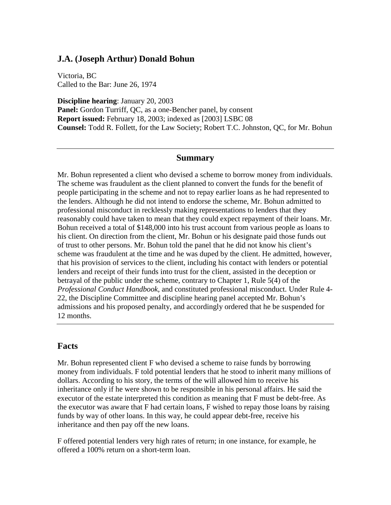## **J.A. (Joseph Arthur) Donald Bohun**

Victoria, BC Called to the Bar: June 26, 1974

**Discipline hearing**: January 20, 2003 **Panel:** Gordon Turriff, QC, as a one-Bencher panel, by consent **Report issued:** February 18, 2003; indexed as [2003] LSBC 08 **Counsel:** Todd R. Follett, for the Law Society; Robert T.C. Johnston, QC, for Mr. Bohun

## **Summary**

Mr. Bohun represented a client who devised a scheme to borrow money from individuals. The scheme was fraudulent as the client planned to convert the funds for the benefit of people participating in the scheme and not to repay earlier loans as he had represented to the lenders. Although he did not intend to endorse the scheme, Mr. Bohun admitted to professional misconduct in recklessly making representations to lenders that they reasonably could have taken to mean that they could expect repayment of their loans. Mr. Bohun received a total of \$148,000 into his trust account from various people as loans to his client. On direction from the client, Mr. Bohun or his designate paid those funds out of trust to other persons. Mr. Bohun told the panel that he did not know his client's scheme was fraudulent at the time and he was duped by the client. He admitted, however, that his provision of services to the client, including his contact with lenders or potential lenders and receipt of their funds into trust for the client, assisted in the deception or betrayal of the public under the scheme, contrary to Chapter 1, Rule 5(4) of the *Professional Conduct Handbook,* and constituted professional misconduct. Under Rule 4- 22, the Discipline Committee and discipline hearing panel accepted Mr. Bohun's admissions and his proposed penalty, and accordingly ordered that he be suspended for 12 months.

## **Facts**

Mr. Bohun represented client F who devised a scheme to raise funds by borrowing money from individuals. F told potential lenders that he stood to inherit many millions of dollars. According to his story, the terms of the will allowed him to receive his inheritance only if he were shown to be responsible in his personal affairs. He said the executor of the estate interpreted this condition as meaning that F must be debt-free. As the executor was aware that F had certain loans, F wished to repay those loans by raising funds by way of other loans. In this way, he could appear debt-free, receive his inheritance and then pay off the new loans.

F offered potential lenders very high rates of return; in one instance, for example, he offered a 100% return on a short-term loan.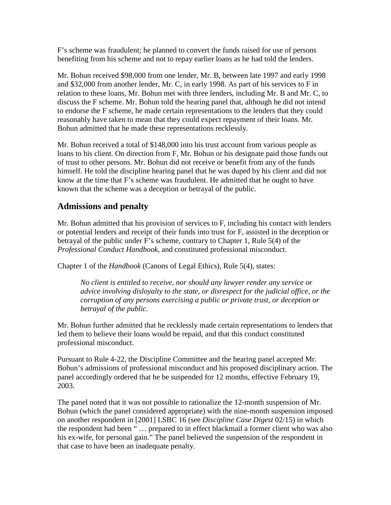F's scheme was fraudulent; he planned to convert the funds raised for use of persons benefiting from his scheme and not to repay earlier loans as he had told the lenders.

Mr. Bohun received \$98,000 from one lender, Mr. B, between late 1997 and early 1998 and \$32,000 from another lender, Mr. C, in early 1998. As part of his services to F in relation to these loans, Mr. Bohun met with three lenders, including Mr. B and Mr. C, to discuss the F scheme. Mr. Bohun told the hearing panel that, although he did not intend to endorse the F scheme, he made certain representations to the lenders that they could reasonably have taken to mean that they could expect repayment of their loans. Mr. Bohun admitted that he made these representations recklessly.

Mr. Bohun received a total of \$148,000 into his trust account from various people as loans to his client. On direction from F, Mr. Bohun or his designate paid those funds out of trust to other persons. Mr. Bohun did not receive or benefit from any of the funds himself. He told the discipline hearing panel that he was duped by his client and did not know at the time that F's scheme was fraudulent. He admitted that he ought to have known that the scheme was a deception or betrayal of the public.

## **Admissions and penalty**

Mr. Bohun admitted that his provision of services to F, including his contact with lenders or potential lenders and receipt of their funds into trust for F, assisted in the deception or betrayal of the public under F's scheme, contrary to Chapter 1, Rule 5(4) of the *Professional Conduct Handbook,* and constituted professional misconduct.

Chapter 1 of the *Handbook* (Canons of Legal Ethics), Rule 5(4), states:

*No client is entitled to receive, nor should any lawyer render any service or advice involving disloyalty to the state, or disrespect for the judicial office, or the corruption of any persons exercising a public or private trust, or deception or betrayal of the public.*

Mr. Bohun further admitted that he recklessly made certain representations to lenders that led them to believe their loans would be repaid, and that this conduct constituted professional misconduct.

Pursuant to Rule 4-22, the Discipline Committee and the hearing panel accepted Mr. Bohun's admissions of professional misconduct and his proposed disciplinary action. The panel accordingly ordered that he be suspended for 12 months, effective February 19, 2003.

The panel noted that it was not possible to rationalize the 12-month suspension of Mr. Bohun (which the panel considered appropriate) with the nine-month suspension imposed on another respondent in [2001] LSBC 16 (see *Discipline Case Digest* 02/15) in which the respondent had been " … prepared to in effect blackmail a former client who was also his ex-wife, for personal gain." The panel believed the suspension of the respondent in that case to have been an inadequate penalty.